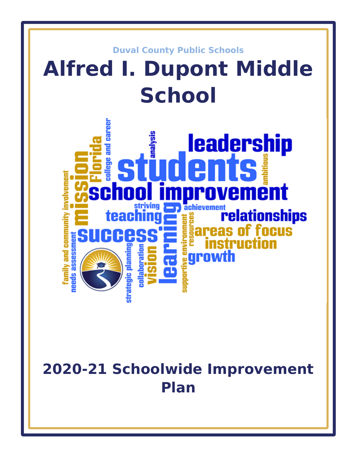

# **2020-21 Schoolwide Improvement Plan**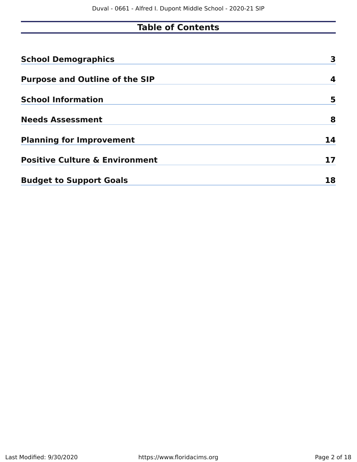# **Table of Contents**

| <b>School Demographics</b>                | 3  |
|-------------------------------------------|----|
| <b>Purpose and Outline of the SIP</b>     | 4  |
| <b>School Information</b>                 | 5  |
| <b>Needs Assessment</b>                   | 8  |
| <b>Planning for Improvement</b>           | 14 |
| <b>Positive Culture &amp; Environment</b> | 17 |
| <b>Budget to Support Goals</b>            | 18 |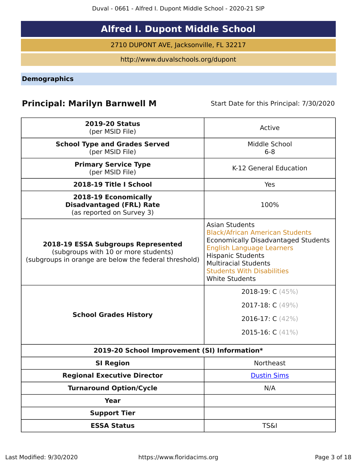# **Alfred I. Dupont Middle School**

2710 DUPONT AVE, Jacksonville, FL 32217

http://www.duvalschools.org/dupont

<span id="page-2-0"></span>**Demographics**

# **Principal: Marilyn Barnwell M** Start Date for this Principal: 7/30/2020

| <b>2019-20 Status</b><br>(per MSID File)                                                                                            | Active                                                                                                                                                                                                                                                              |
|-------------------------------------------------------------------------------------------------------------------------------------|---------------------------------------------------------------------------------------------------------------------------------------------------------------------------------------------------------------------------------------------------------------------|
| <b>School Type and Grades Served</b><br>(per MSID File)                                                                             | Middle School<br>$6 - 8$                                                                                                                                                                                                                                            |
| <b>Primary Service Type</b><br>(per MSID File)                                                                                      | K-12 General Education                                                                                                                                                                                                                                              |
| 2018-19 Title I School                                                                                                              | Yes                                                                                                                                                                                                                                                                 |
| <b>2018-19 Economically</b><br><b>Disadvantaged (FRL) Rate</b><br>(as reported on Survey 3)                                         | 100%                                                                                                                                                                                                                                                                |
| 2018-19 ESSA Subgroups Represented<br>(subgroups with 10 or more students)<br>(subgroups in orange are below the federal threshold) | <b>Asian Students</b><br><b>Black/African American Students</b><br>Economically Disadvantaged Students<br><b>English Language Learners</b><br><b>Hispanic Students</b><br><b>Multiracial Students</b><br><b>Students With Disabilities</b><br><b>White Students</b> |
|                                                                                                                                     | 2018-19: $C(45%)$                                                                                                                                                                                                                                                   |
|                                                                                                                                     | 2017-18: C (49%)                                                                                                                                                                                                                                                    |
| <b>School Grades History</b>                                                                                                        | 2016-17: $C(42%)$                                                                                                                                                                                                                                                   |
|                                                                                                                                     | 2015-16: $C(41%)$                                                                                                                                                                                                                                                   |
| 2019-20 School Improvement (SI) Information*                                                                                        |                                                                                                                                                                                                                                                                     |
| <b>SI Region</b>                                                                                                                    | Northeast                                                                                                                                                                                                                                                           |
| <b>Regional Executive Director</b>                                                                                                  | <b>Dustin Sims</b>                                                                                                                                                                                                                                                  |
| <b>Turnaround Option/Cycle</b>                                                                                                      | N/A                                                                                                                                                                                                                                                                 |
| <b>Year</b>                                                                                                                         |                                                                                                                                                                                                                                                                     |
| <b>Support Tier</b>                                                                                                                 |                                                                                                                                                                                                                                                                     |
| <b>ESSA Status</b>                                                                                                                  | <b>TS&amp;I</b>                                                                                                                                                                                                                                                     |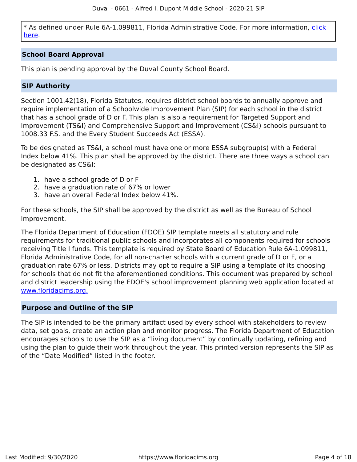\* As defined under Rule 6A-1.099811, Florida Administrative Code. For more information, [click](/downloads?category=da-forms) [here](/downloads?category=da-forms).

#### **School Board Approval**

This plan is pending approval by the Duval County School Board.

#### **SIP Authority**

Section 1001.42(18), Florida Statutes, requires district school boards to annually approve and require implementation of a Schoolwide Improvement Plan (SIP) for each school in the district that has a school grade of D or F. This plan is also a requirement for Targeted Support and Improvement (TS&I) and Comprehensive Support and Improvement (CS&I) schools pursuant to 1008.33 F.S. and the Every Student Succeeds Act (ESSA).

To be designated as TS&I, a school must have one or more ESSA subgroup(s) with a Federal Index below 41%. This plan shall be approved by the district. There are three ways a school can be designated as CS&I:

- 1. have a school grade of D or F
- 2. have a graduation rate of 67% or lower
- 3. have an overall Federal Index below 41%.

For these schools, the SIP shall be approved by the district as well as the Bureau of School Improvement.

The Florida Department of Education (FDOE) SIP template meets all statutory and rule requirements for traditional public schools and incorporates all components required for schools receiving Title I funds. This template is required by State Board of Education Rule 6A-1.099811, Florida Administrative Code, for all non-charter schools with a current grade of D or F, or a graduation rate 67% or less. Districts may opt to require a SIP using a template of its choosing for schools that do not fit the aforementioned conditions. This document was prepared by school and district leadership using the FDOE's school improvement planning web application located at [www.floridacims.org.](https://www.floridacims.org)

#### <span id="page-3-0"></span>**Purpose and Outline of the SIP**

The SIP is intended to be the primary artifact used by every school with stakeholders to review data, set goals, create an action plan and monitor progress. The Florida Department of Education encourages schools to use the SIP as a "living document" by continually updating, refining and using the plan to guide their work throughout the year. This printed version represents the SIP as of the "Date Modified" listed in the footer.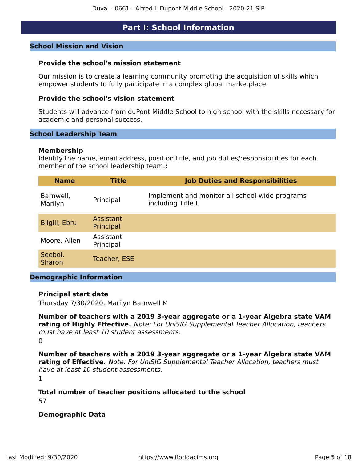#### **Part I: School Information**

#### <span id="page-4-0"></span>**School Mission and Vision**

#### **Provide the school's mission statement**

Our mission is to create a learning community promoting the acquisition of skills which empower students to fully participate in a complex global marketplace.

#### **Provide the school's vision statement**

Students will advance from duPont Middle School to high school with the skills necessary for academic and personal success.

#### **School Leadership Team**

#### **Membership**

Identify the name, email address, position title, and job duties/responsibilities for each member of the school leadership team.**:**

| <b>Name</b>          | <b>Title</b>           | <b>Job Duties and Responsibilities</b>                               |
|----------------------|------------------------|----------------------------------------------------------------------|
| Barnwell,<br>Marilyn | Principal              | Implement and monitor all school-wide programs<br>including Title I. |
| Bilgili, Ebru        | Assistant<br>Principal |                                                                      |
| Moore, Allen         | Assistant<br>Principal |                                                                      |
| Seebol,<br>Sharon    | Teacher, ESE           |                                                                      |
|                      |                        |                                                                      |

#### **Demographic Information**

#### **Principal start date**

Thursday 7/30/2020, Marilyn Barnwell M

**Number of teachers with a 2019 3-year aggregate or a 1-year Algebra state VAM rating of Highly Effective.** Note: For UniSIG Supplemental Teacher Allocation, teachers must have at least 10 student assessments.  $\Omega$ 

**Number of teachers with a 2019 3-year aggregate or a 1-year Algebra state VAM rating of Effective.** Note: For UniSIG Supplemental Teacher Allocation, teachers must have at least 10 student assessments.

1

#### **Total number of teacher positions allocated to the school**

57

#### **Demographic Data**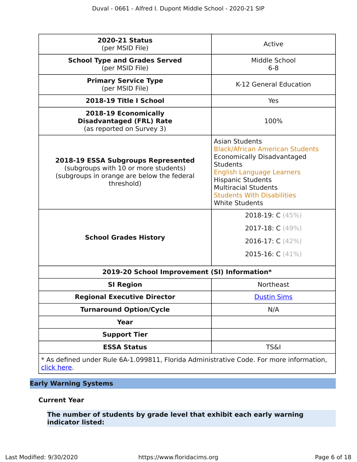| <b>2020-21 Status</b><br>(per MSID File)                                                                                                      | Active                                                                                                                                                                                                                                                                               |
|-----------------------------------------------------------------------------------------------------------------------------------------------|--------------------------------------------------------------------------------------------------------------------------------------------------------------------------------------------------------------------------------------------------------------------------------------|
| <b>School Type and Grades Served</b><br>(per MSID File)                                                                                       | Middle School<br>$6 - 8$                                                                                                                                                                                                                                                             |
| <b>Primary Service Type</b><br>(per MSID File)                                                                                                | K-12 General Education                                                                                                                                                                                                                                                               |
| 2018-19 Title I School                                                                                                                        | Yes                                                                                                                                                                                                                                                                                  |
| 2018-19 Economically<br><b>Disadvantaged (FRL) Rate</b><br>(as reported on Survey 3)                                                          | 100%                                                                                                                                                                                                                                                                                 |
| <b>2018-19 ESSA Subgroups Represented</b><br>(subgroups with 10 or more students)<br>(subgroups in orange are below the federal<br>threshold) | <b>Asian Students</b><br><b>Black/African American Students</b><br><b>Economically Disadvantaged</b><br><b>Students</b><br><b>English Language Learners</b><br><b>Hispanic Students</b><br><b>Multiracial Students</b><br><b>Students With Disabilities</b><br><b>White Students</b> |
| <b>School Grades History</b>                                                                                                                  | 2018-19: $C(45%)$<br>2017-18: $C(49%)$<br>2016-17: $C(42%)$<br>2015-16: $C(41%)$                                                                                                                                                                                                     |
| 2019-20 School Improvement (SI) Information*                                                                                                  |                                                                                                                                                                                                                                                                                      |
| <b>SI Region</b>                                                                                                                              | <b>Northeast</b>                                                                                                                                                                                                                                                                     |
| <b>Regional Executive Director</b>                                                                                                            | <b>Dustin Sims</b>                                                                                                                                                                                                                                                                   |
| <b>Turnaround Option/Cycle</b>                                                                                                                | N/A                                                                                                                                                                                                                                                                                  |
| Year                                                                                                                                          |                                                                                                                                                                                                                                                                                      |
| <b>Support Tier</b>                                                                                                                           |                                                                                                                                                                                                                                                                                      |
| <b>ESSA Status</b>                                                                                                                            | <b>TS&amp;I</b>                                                                                                                                                                                                                                                                      |
| * As defined under Rule 6A-1.099811, Florida Administrative Code. For more information,<br>click here.                                        |                                                                                                                                                                                                                                                                                      |

#### **Early Warning Systems**

#### **Current Year**

**The number of students by grade level that exhibit each early warning indicator listed:**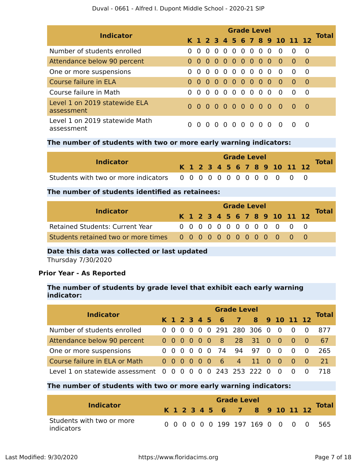| <b>Indicator</b>                             | <b>Grade Level</b> |          |                |          |     |          |     |  |  |          |                              |            |                |              |
|----------------------------------------------|--------------------|----------|----------------|----------|-----|----------|-----|--|--|----------|------------------------------|------------|----------------|--------------|
|                                              |                    |          |                |          |     |          |     |  |  |          | K 1 2 3 4 5 6 7 8 9 10 11 12 |            |                | <b>Total</b> |
| Number of students enrolled                  |                    | $\Omega$ |                |          |     | 00000000 |     |  |  |          | - 0                          | $\Omega$   | $\overline{0}$ |              |
| Attendance below 90 percent                  |                    |          |                |          |     |          |     |  |  |          | 00000000000                  | $\bullet$  | _ റ            |              |
| One or more suspensions                      |                    | $\Omega$ | $\Omega$       |          |     |          |     |  |  |          | 00000000                     | $\Omega$   | $\overline{0}$ |              |
| Course failure in ELA                        |                    | $\Omega$ |                |          |     | 00000000 |     |  |  |          | <b>O</b>                     | $\Omega$   | - 0            |              |
| Course failure in Math                       |                    | $\Omega$ |                |          |     |          |     |  |  |          | $00000000000$                | $\Omega$   | $\overline{0}$ |              |
| Level 1 on 2019 statewide ELA<br>assessment  |                    |          |                |          |     |          |     |  |  |          | 0 0 0 0 0 0 0 0 0 0          | <u>ີ ດ</u> | - 0            |              |
| Level 1 on 2019 statewide Math<br>assessment |                    | $\Omega$ | $\overline{0}$ | $\Omega$ | - 0 | - 0      | 000 |  |  | $\Omega$ | $\Omega$                     |            | $\Omega$       |              |

#### **The number of students with two or more early warning indicators:**

| <b>Indicator</b> |  |  |  |  | <b>Grade Level</b> |  |                              |              |
|------------------|--|--|--|--|--------------------|--|------------------------------|--------------|
|                  |  |  |  |  |                    |  | K 1 2 3 4 5 6 7 8 9 10 11 12 | <b>Total</b> |
|                  |  |  |  |  |                    |  |                              |              |

#### **The number of students identified as retainees:**

| <b>Indicator</b>                       | <b>Grade Level</b> |  |  |  |  |  |  |  |  |  |  |                              |  |              |
|----------------------------------------|--------------------|--|--|--|--|--|--|--|--|--|--|------------------------------|--|--------------|
|                                        |                    |  |  |  |  |  |  |  |  |  |  | K 1 2 3 4 5 6 7 8 9 10 11 12 |  | <b>Total</b> |
| <b>Retained Students: Current Year</b> |                    |  |  |  |  |  |  |  |  |  |  | 0 0 0 0 0 0 0 0 0 0 0 0 0    |  |              |
|                                        |                    |  |  |  |  |  |  |  |  |  |  |                              |  |              |

#### **Date this data was collected or last updated**

Thursday 7/30/2020

#### **Prior Year - As Reported**

#### **The number of students by grade level that exhibit each early warning indicator:**

| <b>Indicator</b>                  |  | <b>Grade Level</b>                                     |  |                |  |                |               |                      |  |          |                |                                     |                |              |  |  |
|-----------------------------------|--|--------------------------------------------------------|--|----------------|--|----------------|---------------|----------------------|--|----------|----------------|-------------------------------------|----------------|--------------|--|--|
|                                   |  |                                                        |  |                |  |                | K 1 2 3 4 5 6 | 7 8 9 10 11 12       |  |          |                |                                     |                | <b>Total</b> |  |  |
| Number of students enrolled       |  | $0\quad 0\quad 0\quad 0$                               |  |                |  |                |               | 0 0 291 280 306 0    |  |          | $\overline{0}$ | $\overline{0}$                      | $\bigcirc$     | 877          |  |  |
| Attendance below 90 percent       |  | $0\quad 0\quad 0\quad 0\quad 0\quad 0$                 |  |                |  |                |               | 8 28 31 0            |  |          | - O            | $\begin{matrix} 0 & 0 \end{matrix}$ |                | 67           |  |  |
| One or more suspensions           |  | $\begin{array}{ccccccccc}\n0 & 0 & 0 & 0\n\end{array}$ |  |                |  | $\overline{0}$ |               | 74 94 97             |  | $\Omega$ | - 0            | $\Omega$                            | $\overline{0}$ | 265          |  |  |
| Course failure in ELA or Math     |  | $0000000$                                              |  |                |  |                | $-6$          | $4 \quad 11 \quad 0$ |  |          | <b>O</b>       | $\begin{matrix} 0 & 0 \end{matrix}$ |                | 21           |  |  |
| Level 1 on statewide assessment 0 |  | $0\,0$                                                 |  | $\overline{0}$ |  |                |               | 0 0 243 253 222      |  | $\Omega$ |                |                                     |                |              |  |  |

#### **The number of students with two or more early warning indicators:**

| <b>Indicator</b>                        | <b>Grade Level</b> |  |  |  |  |  |                              |  |  |  |  |  |  |                                     |
|-----------------------------------------|--------------------|--|--|--|--|--|------------------------------|--|--|--|--|--|--|-------------------------------------|
|                                         |                    |  |  |  |  |  | K 1 2 3 4 5 6 7 8 9 10 11 12 |  |  |  |  |  |  | <b>Total</b>                        |
| Students with two or more<br>indicators |                    |  |  |  |  |  |                              |  |  |  |  |  |  | 0 0 0 0 0 0 199 197 169 0 0 0 0 565 |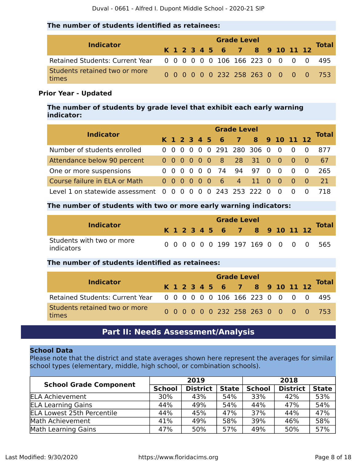#### **The number of students identified as retainees:**

| <b>Indicator</b>                                                    | <b>Grade Level</b> |  |  |  |  |  |                              |  |  |  |  |  |  |                                     |  |
|---------------------------------------------------------------------|--------------------|--|--|--|--|--|------------------------------|--|--|--|--|--|--|-------------------------------------|--|
|                                                                     |                    |  |  |  |  |  | K 1 2 3 4 5 6 7 8 9 10 11 12 |  |  |  |  |  |  | <b>Total</b>                        |  |
| Retained Students: Current Year 0 0 0 0 0 0 106 166 223 0 0 0 0 495 |                    |  |  |  |  |  |                              |  |  |  |  |  |  |                                     |  |
| Students retained two or more<br>times                              |                    |  |  |  |  |  |                              |  |  |  |  |  |  | 0 0 0 0 0 0 232 258 263 0 0 0 0 753 |  |

#### **Prior Year - Updated**

**The number of students by grade level that exhibit each early warning indicator:**

| <b>Indicator</b>                      |  | <b>Grade Level</b>                     |  |                   |  |  |               |                           |    |          |          |                |           |              |  |  |
|---------------------------------------|--|----------------------------------------|--|-------------------|--|--|---------------|---------------------------|----|----------|----------|----------------|-----------|--------------|--|--|
|                                       |  |                                        |  |                   |  |  | K 1 2 3 4 5 6 | 7 8 9 10 11 12            |    |          |          |                |           | <b>Total</b> |  |  |
| Number of students enrolled           |  |                                        |  |                   |  |  |               | 0 0 0 0 0 0 291 280 306 0 |    |          | - 0      | - 0            |           | 877          |  |  |
| Attendance below 90 percent           |  | $0\quad 0\quad 0\quad 0\quad 0\quad 0$ |  |                   |  |  |               | 8 28 31 0                 |    |          | <b>0</b> | $\bullet$ 0    | <u>_റ</u> | -67          |  |  |
| One or more suspensions               |  | 000                                    |  | $0\quad 0\quad 0$ |  |  | 74 94         |                           | 97 | $\Omega$ | - 0      | $\Omega$       | $\Omega$  | 265          |  |  |
| Course failure in ELA or Math         |  | $0000000$                              |  |                   |  |  |               | 6 4 11                    |    | - 0      | - 0      | $\overline{0}$ | - റ       | -21.         |  |  |
| Level 1 on statewide assessment 0 0 0 |  |                                        |  |                   |  |  |               | 0 0 0 243 253 222         |    | $\Omega$ |          |                |           |              |  |  |

#### **The number of students with two or more early warning indicators:**

| <b>Indicator</b>                        | <b>Grade Level</b> |  |  |  |  |  |                              |  |  |  |  |  |  |                                     |  |
|-----------------------------------------|--------------------|--|--|--|--|--|------------------------------|--|--|--|--|--|--|-------------------------------------|--|
|                                         |                    |  |  |  |  |  | K 1 2 3 4 5 6 7 8 9 10 11 12 |  |  |  |  |  |  | <b>Total</b>                        |  |
| Students with two or more<br>indicators |                    |  |  |  |  |  |                              |  |  |  |  |  |  | 0 0 0 0 0 0 199 197 169 0 0 0 0 565 |  |

#### **The number of students identified as retainees:**

| <b>Indicator</b>                                                    |  |  |  | <b>Grade Level</b>           |  |  |  |                                     |
|---------------------------------------------------------------------|--|--|--|------------------------------|--|--|--|-------------------------------------|
|                                                                     |  |  |  | K 1 2 3 4 5 6 7 8 9 10 11 12 |  |  |  | Total                               |
| Retained Students: Current Year 0 0 0 0 0 0 106 166 223 0 0 0 0 495 |  |  |  |                              |  |  |  |                                     |
| Students retained two or more<br>times                              |  |  |  |                              |  |  |  | 0 0 0 0 0 0 232 258 263 0 0 0 0 753 |

## **Part II: Needs Assessment/Analysis**

#### <span id="page-7-0"></span>**School Data**

Please note that the district and state averages shown here represent the averages for similar school types (elementary, middle, high school, or combination schools).

|                                   |               | 2019            |              | 2018          |                 |              |  |
|-----------------------------------|---------------|-----------------|--------------|---------------|-----------------|--------------|--|
| <b>School Grade Component</b>     | <b>School</b> | <b>District</b> | <b>State</b> | <b>School</b> | <b>District</b> | <b>State</b> |  |
| <b>ELA Achievement</b>            | 30%           | 43%             | 54%          | 33%           | 42%             | 53%          |  |
| <b>ELA Learning Gains</b>         | 44%           | 49%             | 54%          | 44%           | 47%             | 54%          |  |
| <b>ELA Lowest 25th Percentile</b> | 44%           | 45%             | 47%          | 37%           | 44%             | 47%          |  |
| Math Achievement                  | 41%           | 49%             | 58%          | 39%           | 46%             | 58%          |  |
| Math Learning Gains               | 47%           | 50%             | 57%          | 49%           | 50%             | 57%          |  |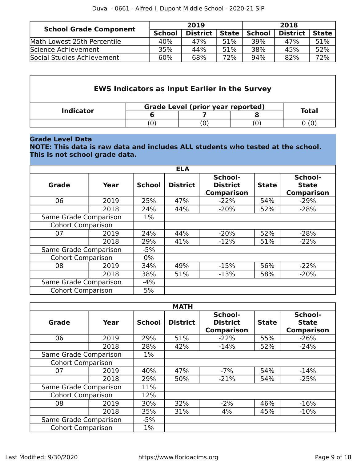| <b>School Grade Component</b> |               | 2019            |              | 2018          |                 |              |  |
|-------------------------------|---------------|-----------------|--------------|---------------|-----------------|--------------|--|
|                               | <b>School</b> | <b>District</b> | <b>State</b> | <b>School</b> | <b>District</b> | <b>State</b> |  |
| Math Lowest 25th Percentile   | 40%           | 47%             | 51%          | 39%           | 47%             | 51%          |  |
| Science Achievement           | 35%           | 44%             | 51%          | 38%           | 45%             | 52%          |  |
| Social Studies Achievement    | 60%           | 68%             | 72%          | 94%           | 82%             | 72%          |  |

|                  | <b>EWS Indicators as Input Earlier in the Survey</b> |       |  |
|------------------|------------------------------------------------------|-------|--|
| <b>Indicator</b> | <b>Grade Level (prior year reported)</b>             |       |  |
|                  |                                                      | Total |  |
|                  |                                                      |       |  |

#### **Grade Level Data**

**NOTE: This data is raw data and includes ALL students who tested at the school. This is not school grade data.**

|                          |      |               | <b>ELA</b>      |                                                 |              |                                              |
|--------------------------|------|---------------|-----------------|-------------------------------------------------|--------------|----------------------------------------------|
| Grade                    | Year | <b>School</b> | <b>District</b> | School-<br><b>District</b><br><b>Comparison</b> | <b>State</b> | School-<br><b>State</b><br><b>Comparison</b> |
| 06                       | 2019 | 25%           | 47%             | $-22%$                                          | 54%          | $-29%$                                       |
|                          | 2018 | 24%           | 44%             | $-20%$                                          | 52%          | $-28%$                                       |
| Same Grade Comparison    |      | $1\%$         |                 |                                                 |              |                                              |
| <b>Cohort Comparison</b> |      |               |                 |                                                 |              |                                              |
| 07                       | 2019 | 24%           | 44%             | $-20%$                                          | 52%          | $-28%$                                       |
|                          | 2018 | 29%           | 41%             | $-12%$                                          | 51%          | $-22%$                                       |
| Same Grade Comparison    |      | $-5%$         |                 |                                                 |              |                                              |
| <b>Cohort Comparison</b> |      | $0\%$         |                 |                                                 |              |                                              |
| 08                       | 2019 | 34%           | 49%             | $-15%$                                          | 56%          | $-22%$                                       |
|                          | 2018 | 38%           | 51%             | $-13%$                                          | 58%          | $-20%$                                       |
| Same Grade Comparison    |      | $-4%$         |                 |                                                 |              |                                              |
| <b>Cohort Comparison</b> |      | 5%            |                 |                                                 |              |                                              |

|                          |      |               | <b>MATH</b>     |                                                 |              |                                              |
|--------------------------|------|---------------|-----------------|-------------------------------------------------|--------------|----------------------------------------------|
| Grade                    | Year | <b>School</b> | <b>District</b> | School-<br><b>District</b><br><b>Comparison</b> | <b>State</b> | School-<br><b>State</b><br><b>Comparison</b> |
| 06                       | 2019 | 29%           | 51%             | $-22%$                                          | 55%          | $-26%$                                       |
|                          | 2018 | 28%           | 42%             | $-14%$                                          | 52%          | $-24%$                                       |
| Same Grade Comparison    |      | $1\%$         |                 |                                                 |              |                                              |
| <b>Cohort Comparison</b> |      |               |                 |                                                 |              |                                              |
| 07                       | 2019 | 40%           | 47%             | $-7%$                                           | 54%          | $-14%$                                       |
|                          | 2018 | 29%           | 50%             | $-21%$                                          | 54%          | $-25%$                                       |
| Same Grade Comparison    |      | 11%           |                 |                                                 |              |                                              |
| <b>Cohort Comparison</b> |      | 12%           |                 |                                                 |              |                                              |
| 08                       | 2019 | 30%           | 32%             | $-2%$                                           | 46%          | $-16%$                                       |
|                          | 2018 | 35%           | 31%             | 4%                                              | 45%          | $-10%$                                       |
| Same Grade Comparison    |      | $-5%$         |                 |                                                 |              |                                              |
| <b>Cohort Comparison</b> |      | $1\%$         |                 |                                                 |              |                                              |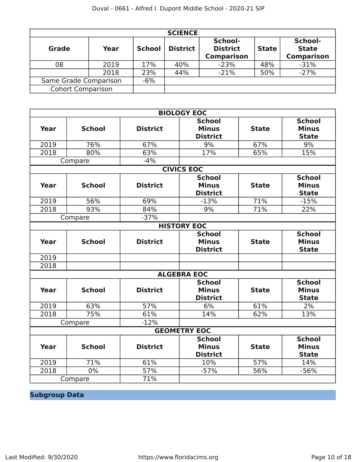|                          |                       |               | <b>SCIENCE</b>  |                                                 |              |                                              |
|--------------------------|-----------------------|---------------|-----------------|-------------------------------------------------|--------------|----------------------------------------------|
| Grade                    | Year                  | <b>School</b> | <b>District</b> | School-<br><b>District</b><br><b>Comparison</b> | <b>State</b> | School-<br><b>State</b><br><b>Comparison</b> |
| 08                       | 2019                  | 17%           | 40%             | $-23%$                                          | 48%          | $-31%$                                       |
|                          | 2018                  | 23%           | 44%             | $-21%$                                          | 50%          | $-27%$                                       |
|                          | Same Grade Comparison |               |                 |                                                 |              |                                              |
| <b>Cohort Comparison</b> |                       |               |                 |                                                 |              |                                              |

|             |               |                 | <b>BIOLOGY EOC</b>                               |              |                                               |
|-------------|---------------|-----------------|--------------------------------------------------|--------------|-----------------------------------------------|
| Year        | <b>School</b> | <b>District</b> | <b>School</b><br><b>Minus</b><br><b>District</b> | <b>State</b> | <b>School</b><br><b>Minus</b><br><b>State</b> |
| 2019        | 76%           | 67%             | 9%                                               | 67%          | 9%                                            |
| 2018        | 80%           | 63%             | 17%                                              | 65%          | 15%                                           |
|             | Compare       | $-4%$           |                                                  |              |                                               |
|             |               |                 | <b>CIVICS EOC</b>                                |              |                                               |
| <b>Year</b> | <b>School</b> | <b>District</b> | <b>School</b><br><b>Minus</b><br><b>District</b> | <b>State</b> | <b>School</b><br><b>Minus</b><br><b>State</b> |
| 2019        | 56%           | 69%             | $-13%$                                           | 71%          | $-15%$                                        |
| 2018        | 93%           | 84%             | 9%                                               | 71%          | 22%                                           |
|             | Compare       | $-37%$          |                                                  |              |                                               |
|             |               |                 | <b>HISTORY EOC</b>                               |              |                                               |
| Year        | <b>School</b> | <b>District</b> | <b>School</b><br><b>Minus</b><br><b>District</b> | <b>State</b> | <b>School</b><br><b>Minus</b><br><b>State</b> |
| 2019        |               |                 |                                                  |              |                                               |
| 2018        |               |                 |                                                  |              |                                               |
|             |               |                 | <b>ALGEBRA EOC</b>                               |              |                                               |
| Year        | <b>School</b> | <b>District</b> | <b>School</b><br><b>Minus</b><br><b>District</b> | <b>State</b> | <b>School</b><br><b>Minus</b><br><b>State</b> |
| 2019        | 63%           | 57%             | 6%                                               | 61%          | 2%                                            |
| 2018        | 75%           | 61%             | 14%                                              | 62%          | 13%                                           |
|             | Compare       | $-12%$          |                                                  |              |                                               |
|             |               |                 | <b>GEOMETRY EOC</b>                              |              |                                               |
| <b>Year</b> | <b>School</b> | <b>District</b> | <b>School</b><br><b>Minus</b><br><b>District</b> | <b>State</b> | <b>School</b><br><b>Minus</b><br><b>State</b> |
| 2019        | 71%           | 61%             | 10%                                              | 57%          | 14%                                           |
| 2018        | 0%            | 57%             | $-57%$                                           | 56%          | $-56%$                                        |
|             | Compare       | 71%             |                                                  |              |                                               |

# **Subgroup Data**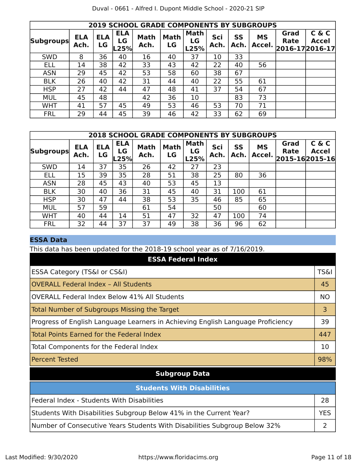|                  |                    |                  |                          | <b>2019 SCHOOL GRADE COMPONENTS BY SUBGROUPS</b> |                   |                           |             |                   |                     |              |                                          |
|------------------|--------------------|------------------|--------------------------|--------------------------------------------------|-------------------|---------------------------|-------------|-------------------|---------------------|--------------|------------------------------------------|
| <b>Subgroups</b> | <b>ELA</b><br>Ach. | <b>ELA</b><br>LG | <b>ELA</b><br>LG<br>L25% | <b>Math</b><br>Ach.                              | <b>Math</b><br>LG | <b>Math</b><br>LG<br>L25% | Sci<br>Ach. | <b>SS</b><br>Ach. | <b>MS</b><br>Accel. | Grad<br>Rate | C & C<br><b>Accel</b><br>2016-17 2016-17 |
| <b>SWD</b>       | 8                  | 36               | 40                       | 16                                               | 40                | 37                        | 10          | 33                |                     |              |                                          |
| ELL              | 14                 | 38               | 42                       | 33                                               | 43                | 42                        | 22          | 40                | 56                  |              |                                          |
| <b>ASN</b>       | 29                 | 45               | 42                       | 53                                               | 58                | 60                        | 38          | 67                |                     |              |                                          |
| <b>BLK</b>       | 26                 | 40               | 42                       | 31                                               | 44                | 40                        | 22          | 55                | 61                  |              |                                          |
| <b>HSP</b>       | 27                 | 42               | 44                       | 47                                               | 48                | 41                        | 37          | 54                | 67                  |              |                                          |
| <b>MUL</b>       | 45                 | 48               |                          | 42                                               | 36                | 10                        |             | 83                | 73                  |              |                                          |
| <b>WHT</b>       | 41                 | 57               | 45                       | 49                                               | 53                | 46                        | 53          | 70                | 71                  |              |                                          |
| <b>FRL</b>       | 29                 | 44               | 45                       | 39                                               | 46                | 42                        | 33          | 62                | 69                  |              |                                          |

|                  |                    |                  |                          | <b>2018 SCHOOL GRADE COMPONENTS BY SUBGROUPS</b> |                   |                           |             |            |                     |              |                                         |
|------------------|--------------------|------------------|--------------------------|--------------------------------------------------|-------------------|---------------------------|-------------|------------|---------------------|--------------|-----------------------------------------|
| <b>Subgroups</b> | <b>ELA</b><br>Ach. | <b>ELA</b><br>LG | <b>ELA</b><br>LG<br>.25% | <b>Math</b><br>Ach.                              | <b>Math</b><br>LG | <b>Math</b><br>LG<br>L25% | Sci<br>Ach. | SS<br>Ach. | <b>MS</b><br>Accel. | Grad<br>Rate | C & C<br><b>Accel</b><br>2015-162015-16 |
| <b>SWD</b>       | 14                 | 37               | 35                       | 26                                               | 42                | 27                        | 23          |            |                     |              |                                         |
| <b>ELL</b>       | 15                 | 39               | 35                       | 28                                               | 51                | 38                        | 25          | 80         | 36                  |              |                                         |
| <b>ASN</b>       | 28                 | 45               | 43                       | 40                                               | 53                | 45                        | 13          |            |                     |              |                                         |
| <b>BLK</b>       | 30                 | 40               | 36                       | 31                                               | 45                | 40                        | 31          | 100        | 61                  |              |                                         |
| <b>HSP</b>       | 30                 | 47               | 44                       | 38                                               | 53                | 35                        | 46          | 85         | 65                  |              |                                         |
| <b>MUL</b>       | 57                 | 59               |                          | 61                                               | 54                |                           | 50          |            | 60                  |              |                                         |
| <b>WHT</b>       | 40                 | 44               | 14                       | 51                                               | 47                | 32                        | 47          | 100        | 74                  |              |                                         |
| <b>FRL</b>       | 32                 | 44               | 37                       | 37                                               | 49                | 38                        | 36          | 96         | 62                  |              |                                         |

#### **ESSA Data**

This data has been updated for the 2018-19 school year as of 7/16/2019.

| <b>ESSA Federal Index</b>                                                       |                 |
|---------------------------------------------------------------------------------|-----------------|
| ESSA Category (TS&I or CS&I)                                                    | <b>TS&amp;I</b> |
| <b>OVERALL Federal Index - All Students</b>                                     | 45              |
| <b>OVERALL Federal Index Below 41% All Students</b>                             | <b>NO</b>       |
| Total Number of Subgroups Missing the Target                                    | 3               |
| Progress of English Language Learners in Achieving English Language Proficiency | 39              |
| <b>Total Points Earned for the Federal Index</b>                                | 447             |
| Total Components for the Federal Index                                          | 10              |
| <b>Percent Tested</b>                                                           | 98%             |
| <b>Subgroup Data</b>                                                            |                 |
| <b>Students With Disabilities</b>                                               |                 |
| Federal Index - Students With Disabilities                                      | 28              |
| Students With Disabilities Subgroup Below 41% in the Current Year?              | <b>YES</b>      |
| Number of Consecutive Years Students With Disabilities Subgroup Below 32%       | 2               |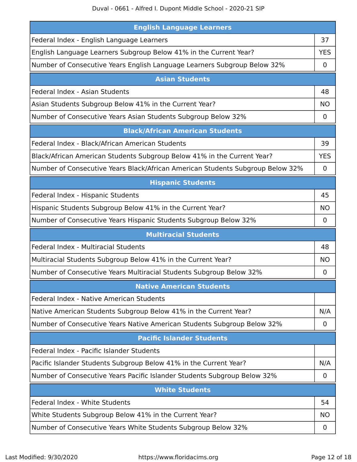| <b>English Language Learners</b>                                               |             |
|--------------------------------------------------------------------------------|-------------|
| Federal Index - English Language Learners                                      | 37          |
| English Language Learners Subgroup Below 41% in the Current Year?              | <b>YES</b>  |
| Number of Consecutive Years English Language Learners Subgroup Below 32%       | 0           |
| <b>Asian Students</b>                                                          |             |
| Federal Index - Asian Students                                                 | 48          |
| Asian Students Subgroup Below 41% in the Current Year?                         | <b>NO</b>   |
| Number of Consecutive Years Asian Students Subgroup Below 32%                  | $\mathbf 0$ |
| <b>Black/African American Students</b>                                         |             |
| Federal Index - Black/African American Students                                | 39          |
| Black/African American Students Subgroup Below 41% in the Current Year?        | <b>YES</b>  |
| Number of Consecutive Years Black/African American Students Subgroup Below 32% | 0           |
| <b>Hispanic Students</b>                                                       |             |
| Federal Index - Hispanic Students                                              | 45          |
| Hispanic Students Subgroup Below 41% in the Current Year?                      | <b>NO</b>   |
| Number of Consecutive Years Hispanic Students Subgroup Below 32%               | 0           |
|                                                                                |             |
| <b>Multiracial Students</b>                                                    |             |
| Federal Index - Multiracial Students                                           | 48          |
| Multiracial Students Subgroup Below 41% in the Current Year?                   | NO.         |
| Number of Consecutive Years Multiracial Students Subgroup Below 32%            | 0           |
| <b>Native American Students</b>                                                |             |
| Federal Index - Native American Students                                       |             |
| Native American Students Subgroup Below 41% in the Current Year?               | N/A         |
| Number of Consecutive Years Native American Students Subgroup Below 32%        | 0           |
| <b>Pacific Islander Students</b>                                               |             |
| Federal Index - Pacific Islander Students                                      |             |
| Pacific Islander Students Subgroup Below 41% in the Current Year?              | N/A         |
| Number of Consecutive Years Pacific Islander Students Subgroup Below 32%       | 0           |
| <b>White Students</b>                                                          |             |
| Federal Index - White Students                                                 | 54          |
| White Students Subgroup Below 41% in the Current Year?                         | <b>NO</b>   |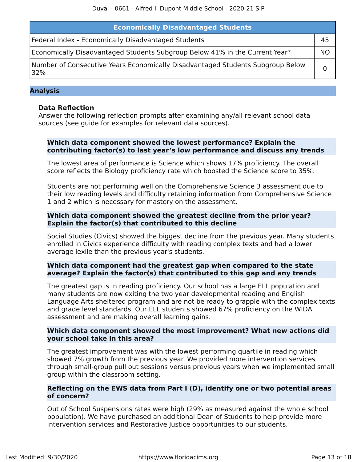| <b>Economically Disadvantaged Students</b>                                            |           |  |  |
|---------------------------------------------------------------------------------------|-----------|--|--|
| Federal Index - Economically Disadvantaged Students                                   | 45        |  |  |
| Economically Disadvantaged Students Subgroup Below 41% in the Current Year?           | <b>NO</b> |  |  |
| Number of Consecutive Years Economically Disadvantaged Students Subgroup Below<br>32% |           |  |  |

#### **Analysis**

#### **Data Reflection**

Answer the following reflection prompts after examining any/all relevant school data sources (see guide for examples for relevant data sources).

#### **Which data component showed the lowest performance? Explain the contributing factor(s) to last year's low performance and discuss any trends**

The lowest area of performance is Science which shows 17% proficiency. The overall score reflects the Biology proficiency rate which boosted the Science score to 35%.

Students are not performing well on the Comprehensive Science 3 assessment due to their low reading levels and difficulty retaining information from Comprehensive Science 1 and 2 which is necessary for mastery on the assessment.

#### **Which data component showed the greatest decline from the prior year? Explain the factor(s) that contributed to this decline**

Social Studies (Civics) showed the biggest decline from the previous year. Many students enrolled in Civics experience difficulty with reading complex texts and had a lower average lexile than the previous year's students.

#### **Which data component had the greatest gap when compared to the state average? Explain the factor(s) that contributed to this gap and any trends**

The greatest gap is in reading proficiency. Our school has a large ELL population and many students are now exiting the two year developmental reading and English Language Arts sheltered program and are not be ready to grapple with the complex texts and grade level standards. Our ELL students showed 67% proficiency on the WIDA assessment and are making overall learning gains.

#### **Which data component showed the most improvement? What new actions did your school take in this area?**

The greatest improvement was with the lowest performing quartile in reading which showed 7% growth from the previous year. We provided more intervention services through small-group pull out sessions versus previous years when we implemented small group within the classroom setting.

#### **Reflecting on the EWS data from Part I (D), identify one or two potential areas of concern?**

Out of School Suspensions rates were high (29% as measured against the whole school population). We have purchased an additional Dean of Students to help provide more intervention services and Restorative Justice opportunities to our students.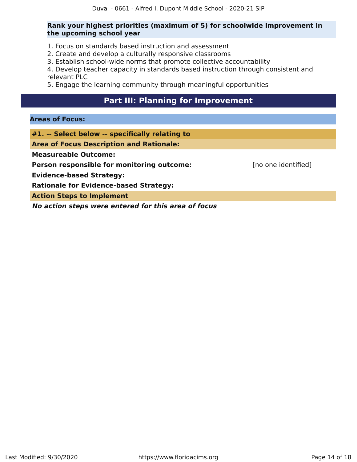#### **Rank your highest priorities (maximum of 5) for schoolwide improvement in the upcoming school year**

- 1. Focus on standards based instruction and assessment
- 2. Create and develop a culturally responsive classrooms
- 3. Establish school-wide norms that promote collective accountability

4. Develop teacher capacity in standards based instruction through consistent and relevant PLC

5. Engage the learning community through meaningful opportunities

#### **Part III: Planning for Improvement**

#### <span id="page-13-0"></span>**Areas of Focus:**

**#1. -- Select below -- specifically relating to**

**Area of Focus Description and Rationale:**

**Measureable Outcome:**

**Person responsible for monitoring outcome:** [no one identified]

**Evidence-based Strategy:**

**Rationale for Evidence-based Strategy:**

**Action Steps to Implement**

**No action steps were entered for this area of focus**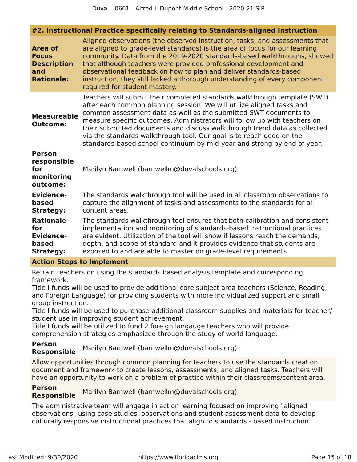#### **#2. Instructional Practice specifically relating to Standards-aligned Instruction**

| <b>Area of</b><br><b>Focus</b><br><b>Description</b><br>and<br><b>Rationale:</b> | Aligned observations (the observed instruction, tasks, and assessments that<br>are aligned to grade-level standards) is the area of focus for our learning<br>community. Data from the 2019-2020 standards-based walkthroughs, showed<br>that although teachers were provided professional development and<br>observational feedback on how to plan and deliver standards-based<br>instruction, they still lacked a thorough understanding of every component<br>required for student mastery.                                      |
|----------------------------------------------------------------------------------|-------------------------------------------------------------------------------------------------------------------------------------------------------------------------------------------------------------------------------------------------------------------------------------------------------------------------------------------------------------------------------------------------------------------------------------------------------------------------------------------------------------------------------------|
| <b>Measureable</b><br><b>Outcome:</b>                                            | Teachers will submit their completed standards walkthrough template (SWT)<br>after each common planning session. We will utilize aligned tasks and<br>common assessment data as well as the submitted SWT documents to<br>measure specific outcomes. Administrators will follow up with teachers on<br>their submitted documents and discuss walkthrough trend data as collected<br>via the standards walkthrough tool. Our goal is to reach good on the<br>standards-based school continuum by mid-year and strong by end of year. |
| <b>Person</b><br>responsible<br>for<br>monitoring<br>outcome:                    | Marilyn Barnwell (barnwellm@duvalschools.org)                                                                                                                                                                                                                                                                                                                                                                                                                                                                                       |
| <b>Evidence-</b><br>based<br><b>Strategy:</b>                                    | The standards walkthrough tool will be used in all classroom observations to<br>capture the alignment of tasks and assessments to the standards for all<br>content areas.                                                                                                                                                                                                                                                                                                                                                           |
| <b>Rationale</b><br>for<br><b>Evidence-</b><br>based<br><b>Strategy:</b>         | The standards walkthrough tool ensures that both calibration and consistent<br>implementation and monitoring of standards-based instructional practices<br>are evident. Utilization of the tool will show if lessons reach the demands,<br>depth, and scope of standard and it provides evidence that students are<br>exposed to and are able to master on grade-level requirements.                                                                                                                                                |

#### **Action Steps to Implement**

Retrain teachers on using the standards based analysis template and corresponding framework.

Title I funds will be used to provide additional core subject area teachers (Science, Reading, and Foreign Language) for providing students with more individualized support and small group instruction.

Title I funds will be used to purchase additional classroom supplies and materials for teacher/ student use in improving student achievement.

Title I funds will be utilized to fund 2 foreign langauge teachers who will provide comprehension strategies emphasized through the study of world language.

#### **Person Responsible** Marilyn Barnwell (barnwellm@duvalschools.org)

Allow opportunities through common planning for teachers to use the standards creation document and framework to create lessons, assessments, and aligned tasks. Teachers will have an opportunity to work on a problem of practice within their classrooms/content area.

**Person Responsible** Marilyn Barnwell (barnwellm@duvalschools.org)

The administrative team will engage in action learning focused on improving "aligned observations" using case studies, observations and student assessment data to develop culturally responsive instructional practices that align to standards - based instruction.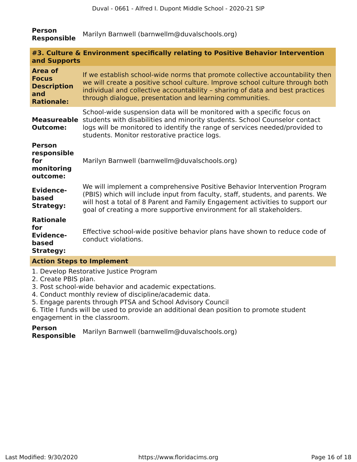#### **Person Responsible** Marilyn Barnwell (barnwellm@duvalschools.org)

| and Supports                                                              | #3. Culture & Environment specifically relating to Positive Behavior Intervention                                                                                                                                                                                                                                   |  |  |  |
|---------------------------------------------------------------------------|---------------------------------------------------------------------------------------------------------------------------------------------------------------------------------------------------------------------------------------------------------------------------------------------------------------------|--|--|--|
| Area of<br><b>Focus</b><br><b>Description</b><br>and<br><b>Rationale:</b> | If we establish school-wide norms that promote collective accountability then<br>we will create a positive school culture. Improve school culture through both<br>individual and collective accountability - sharing of data and best practices<br>through dialogue, presentation and learning communities.         |  |  |  |
| <b>Measureable</b><br><b>Outcome:</b>                                     | School-wide suspension data will be monitored with a specific focus on<br>students with disabilities and minority students. School Counselor contact<br>logs will be monitored to identify the range of services needed/provided to<br>students. Monitor restorative practice logs.                                 |  |  |  |
| <b>Person</b><br>responsible<br>for<br>monitoring<br>outcome:             | Marilyn Barnwell (barnwellm@duvalschools.org)                                                                                                                                                                                                                                                                       |  |  |  |
| <b>Evidence-</b><br>based<br><b>Strategy:</b>                             | We will implement a comprehensive Positive Behavior Intervention Program<br>(PBIS) which will include input from faculty, staff, students, and parents. We<br>will host a total of 8 Parent and Family Engagement activities to support our<br>goal of creating a more supportive environment for all stakeholders. |  |  |  |
| <b>Rationale</b><br>for<br><b>Evidence-</b><br>based<br><b>Strategy:</b>  | Effective school-wide positive behavior plans have shown to reduce code of<br>conduct violations.                                                                                                                                                                                                                   |  |  |  |
|                                                                           | <b>Action Steps to Implement</b>                                                                                                                                                                                                                                                                                    |  |  |  |

- 1. Develop Restorative Justice Program
- 2. Create PBIS plan.
- 3. Post school-wide behavior and academic expectations.
- 4. Conduct monthly review of discipline/academic data.
- 5. Engage parents through PTSA and School Advisory Council
- 6. Title I funds will be used to provide an additional dean position to promote student engagement in the classroom.

**Person Responsible** Marilyn Barnwell (barnwellm@duvalschools.org)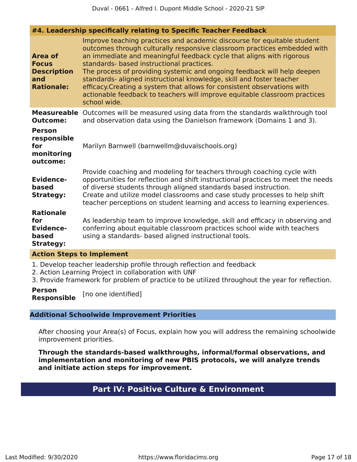**#4. Leadership specifically relating to Specific Teacher Feedback**

|                                                                                  | I ECUACIJINA SPOCINCANT I CRICINA CO SPOCINC TOUCHOL I COUNC                                                                                                                                                                                                                                                                                                                                                                                                                                                                                                                                          |
|----------------------------------------------------------------------------------|-------------------------------------------------------------------------------------------------------------------------------------------------------------------------------------------------------------------------------------------------------------------------------------------------------------------------------------------------------------------------------------------------------------------------------------------------------------------------------------------------------------------------------------------------------------------------------------------------------|
| <b>Area of</b><br><b>Focus</b><br><b>Description</b><br>and<br><b>Rationale:</b> | Improve teaching practices and academic discourse for equitable student<br>outcomes through culturally responsive classroom practices embedded with<br>an immediate and meaningful feedback cycle that aligns with rigorous<br>standards- based instructional practices.<br>The process of providing systemic and ongoing feedback will help deepen<br>standards- aligned instructional knowledge, skill and foster teacher<br>efficacy. Creating a system that allows for consistent observations with<br>actionable feedback to teachers will improve equitable classroom practices<br>school wide. |
| <b>Measureable</b><br><b>Outcome:</b>                                            | Outcomes will be measured using data from the standards walkthrough tool<br>and observation data using the Danielson framework (Domains 1 and 3).                                                                                                                                                                                                                                                                                                                                                                                                                                                     |
| <b>Person</b><br>responsible<br>for<br>monitoring<br>outcome:                    | Marilyn Barnwell (barnwellm@duvalschools.org)                                                                                                                                                                                                                                                                                                                                                                                                                                                                                                                                                         |
| <b>Evidence-</b><br>based<br><b>Strategy:</b>                                    | Provide coaching and modeling for teachers through coaching cycle with<br>opportunities for reflection and shift instructional practices to meet the needs<br>of diverse students through aligned standards based instruction.<br>Create and utilize model classrooms and case study processes to help shift<br>teacher perceptions on student learning and access to learning experiences.                                                                                                                                                                                                           |
| <b>Rationale</b><br>for<br><b>Evidence-</b><br>based<br><b>Strategy:</b>         | As leadership team to improve knowledge, skill and efficacy in observing and<br>conferring about equitable classroom practices school wide with teachers<br>using a standards- based aligned instructional tools.                                                                                                                                                                                                                                                                                                                                                                                     |
| <b>Action Steps to Implement</b>                                                 |                                                                                                                                                                                                                                                                                                                                                                                                                                                                                                                                                                                                       |
|                                                                                  | 1. Develop teacher leadership profile through reflection and feedback<br>2. Astian Lagunina Ductast in sellaboughten with LINE.                                                                                                                                                                                                                                                                                                                                                                                                                                                                       |

- 2. Action Learning Project in collaboration with UNF
- 3. Provide framework for problem of practice to be utilized throughout the year for reflection.

**Person Responsible** [no one identified]

#### **Additional Schoolwide Improvement Priorities**

After choosing your Area(s) of Focus, explain how you will address the remaining schoolwide improvement priorities.

<span id="page-16-0"></span>**Through the standards-based walkthroughs, informal/formal observations, and implementation and monitoring of new PBIS protocols, we will analyze trends and initiate action steps for improvement.**

### **Part IV: Positive Culture & Environment**